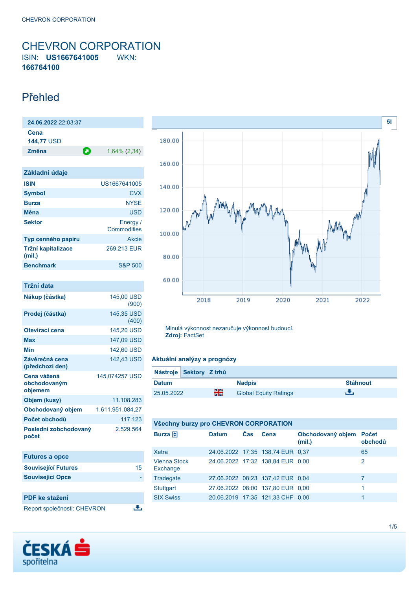## <span id="page-0-0"></span>CHEVRON CORPORATION ISIN: **US1667641005** WKN: **166764100**

## Přehled

| 24.06.2022 22:03:37          |   |                         |
|------------------------------|---|-------------------------|
| Cena<br>144,77 USD           |   |                         |
| Změna                        | О | $1,64\%$ (2,34)         |
|                              |   |                         |
| Základní údaje               |   |                         |
| <b>ISIN</b>                  |   | US1667641005            |
| <b>Symbol</b>                |   | <b>CVX</b>              |
| <b>Burza</b>                 |   | <b>NYSE</b>             |
| Měna                         |   | USD                     |
| <b>Sektor</b>                |   | Energy /<br>Commodities |
| Typ cenného papíru           |   | Akcie                   |
| Tržní kapitalizace<br>(mil.) |   | 269.213 EUR             |

**Benchmark** S&P 500

| Tržní data                             |                     |
|----------------------------------------|---------------------|
| Nákup (částka)                         | 145,00 USD<br>(900) |
| Prodej (částka)                        | 145,35 USD<br>(400) |
| Otevírací cena                         | 145,20 USD          |
| Max                                    | 147,09 USD          |
| Min                                    | 142,60 USD          |
| Závěrečná cena<br>(předchozí den)      | 142.43 USD          |
| Cena vážená<br>obchodovaným<br>objemem | 145,074257 USD      |
| Objem (kusy)                           | 11.108.283          |
| Obchodovaný objem                      | 1.611.951.084,27    |
| Počet obchodů                          | 117.123             |
| Poslední zobchodovaný<br>počet         | 2.529.564           |

| <b>Futures a opce</b>       |    |
|-----------------------------|----|
| <b>Související Futures</b>  | 15 |
| <b>Související Opce</b>     |    |
|                             |    |
| <b>PDF</b> ke stažení       |    |
| Report společnosti: CHEVRON |    |





Minulá výkonnost nezaručuje výkonnost budoucí. **Zdroj:** FactSet

### **Aktuální analýzy a prognózy**

| Nástroje Sektory Z trhů |    |                              |                 |
|-------------------------|----|------------------------------|-----------------|
| <b>Datum</b>            |    | <b>Nadpis</b>                | <b>Stáhnout</b> |
| 25.05.2022              | 을중 | <b>Global Equity Ratings</b> |                 |

### **Všechny burzy pro CHEVRON CORPORATION**

| <b>Datum</b> | Čas | Cena | (mil.) | obchodů                                                                                                                                                                                                     |
|--------------|-----|------|--------|-------------------------------------------------------------------------------------------------------------------------------------------------------------------------------------------------------------|
|              |     |      |        | 65                                                                                                                                                                                                          |
|              |     |      |        | 2                                                                                                                                                                                                           |
|              |     |      |        | 7                                                                                                                                                                                                           |
|              |     |      |        | 1                                                                                                                                                                                                           |
|              |     |      |        |                                                                                                                                                                                                             |
|              |     |      |        | Obchodovaný objem Počet<br>24.06.2022 17:35 138,74 EUR 0,37<br>24.06.2022 17:32 138,84 EUR 0,00<br>27.06.2022 08:23 137,42 EUR 0.04<br>27.06.2022 08:00 137,80 EUR 0,00<br>20.06.2019 17:35 121,33 CHF 0,00 |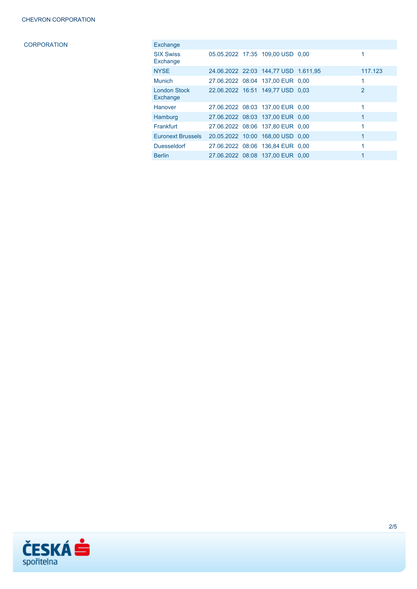CORPORATION

| Exchange                        |  |                                      |                |
|---------------------------------|--|--------------------------------------|----------------|
| <b>SIX Swiss</b><br>Exchange    |  | 05.05.2022 17:35 109,00 USD 0,00     | 1              |
| <b>NYSE</b>                     |  | 24.06.2022 22:03 144,77 USD 1.611,95 | 117.123        |
| <b>Munich</b>                   |  | 27.06.2022 08:04 137,00 EUR 0,00     | 1              |
| <b>London Stock</b><br>Exchange |  | 22.06.2022 16:51 149.77 USD 0.03     | $\overline{2}$ |
| Hanover                         |  | 27.06.2022 08:03 137.00 EUR 0.00     | 1              |
| Hamburg                         |  | 27.06.2022 08:03 137.00 EUR 0.00     | $\mathbf{1}$   |
| Frankfurt                       |  | 27.06.2022 08:06 137.80 EUR 0.00     | 1              |
| <b>Euronext Brussels</b>        |  | 20.05.2022 10:00 168,00 USD 0,00     | $\mathbf{1}$   |
| <b>Duesseldorf</b>              |  | 27.06.2022 08:06 136.84 EUR 0.00     | 1              |
| <b>Berlin</b>                   |  | 27.06.2022 08:08 137.00 EUR 0.00     |                |

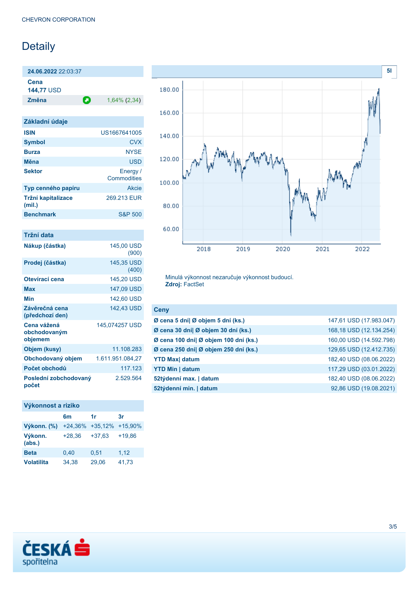# Detaily

**24.06.2022** 22:03:37 **Cena**

**144,77** USD

**Změna** 1,64% (2,34)

| Základní údaje               |                         |
|------------------------------|-------------------------|
| <b>ISIN</b>                  | US1667641005            |
| <b>Symbol</b>                | <b>CVX</b>              |
| <b>Burza</b>                 | <b>NYSE</b>             |
| Měna                         | <b>USD</b>              |
| <b>Sektor</b>                | Energy /<br>Commodities |
| Typ cenného papíru           | Akcie                   |
| Tržní kapitalizace<br>(mil.) | 269.213 EUR             |
| <b>Benchmark</b>             | <b>S&amp;P 500</b>      |

| Tržní data                             |                     |
|----------------------------------------|---------------------|
| Nákup (částka)                         | 145,00 USD<br>(900) |
| Prodej (částka)                        | 145,35 USD<br>(400) |
| Otevírací cena                         | 145,20 USD          |
| Max                                    | 147,09 USD          |
| Min                                    | 142,60 USD          |
| Závěrečná cena<br>(předchozí den)      | 142.43 USD          |
| Cena vážená<br>obchodovaným<br>objemem | 145,074257 USD      |
| Objem (kusy)                           | 11.108.283          |
| Obchodovaný objem                      | 1.611.951.084,27    |
| Počet obchodů                          | 117.123             |
| Poslední zobchodovaný<br>počet         | 2.529.564           |

### **Výkonnost a riziko**

|                   | 6m       | 1r                      | 3r       |
|-------------------|----------|-------------------------|----------|
| Výkonn. (%)       |          | +24,36% +35,12% +15,90% |          |
| Výkonn.<br>(abs.) | $+28,36$ | $+37,63$                | $+19.86$ |
| <b>Beta</b>       | 0,40     | 0.51                    | 1,12     |
| <b>Volatilita</b> | 34,38    | 29,06                   | 41,73    |



Minulá výkonnost nezaručuje výkonnost budoucí. **Zdroj:** FactSet

| <b>Ceny</b>                           |                         |
|---------------------------------------|-------------------------|
| Ø cena 5 dní  Ø objem 5 dní (ks.)     | 147,61 USD (17.983.047) |
| Ø cena 30 dní  Ø objem 30 dní (ks.)   | 168,18 USD (12.134.254) |
| Ø cena 100 dní  Ø objem 100 dní (ks.) | 160,00 USD (14.592.798) |
| Ø cena 250 dní  Ø objem 250 dní (ks.) | 129,65 USD (12.412.735) |
| <b>YTD Max  datum</b>                 | 182,40 USD (08.06.2022) |
| <b>YTD Min   datum</b>                | 117,29 USD (03.01.2022) |
| 52týdenní max.   datum                | 182,40 USD (08.06.2022) |
| 52týdenní min.   datum                | 92,86 USD (19.08.2021)  |

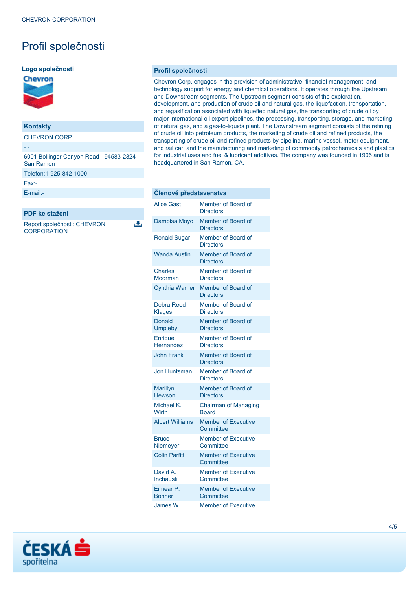# Profil společnosti

#### **Logo společnosti**



### **Kontakty**

CHEVRON CORP.

- - 6001 Bollinger Canyon Road - 94583-2324 San Ramon Telefon:1-925-842-1000 Fax:-

[E-mail:-](mailto:-)

### **PDF ke stažení**

Report společnosti: CHEVRON **CORPORATION** 

ىل

### **Profil společnosti**

Chevron Corp. engages in the provision of administrative, financial management, and technology support for energy and chemical operations. It operates through the Upstream and Downstream segments. The Upstream segment consists of the exploration, development, and production of crude oil and natural gas, the liquefaction, transportation, and regasification associated with liquefied natural gas, the transporting of crude oil by major international oil export pipelines, the processing, transporting, storage, and marketing of natural gas, and a gas-to-liquids plant. The Downstream segment consists of the refining of crude oil into petroleum products, the marketing of crude oil and refined products, the transporting of crude oil and refined products by pipeline, marine vessel, motor equipment, and rail car, and the manufacturing and marketing of commodity petrochemicals and plastics for industrial uses and fuel & lubricant additives. The company was founded in 1906 and is headquartered in San Ramon, CA.

| Clenové představenstva           |                                             |
|----------------------------------|---------------------------------------------|
| <b>Alice Gast</b>                | Member of Board of<br><b>Directors</b>      |
| Dambisa Moyo                     | Member of Board of<br><b>Directors</b>      |
| <b>Ronald Sugar</b>              | Member of Board of<br><b>Directors</b>      |
| <b>Wanda Austin</b>              | Member of Board of<br><b>Directors</b>      |
| <b>Charles</b><br>Moorman        | Member of Board of<br><b>Directors</b>      |
| <b>Cynthia Warner</b>            | Member of Board of<br><b>Directors</b>      |
| Debra Reed-<br><b>Klages</b>     | Member of Board of<br><b>Directors</b>      |
| Donald<br><b>Umpleby</b>         | Member of Board of<br><b>Directors</b>      |
| <b>Enrique</b><br>Hernandez      | Member of Board of<br><b>Directors</b>      |
| <b>John Frank</b>                | Member of Board of<br><b>Directors</b>      |
| <b>Jon Huntsman</b>              | Member of Board of<br><b>Directors</b>      |
| <b>Marillyn</b><br><b>Hewson</b> | Member of Board of<br><b>Directors</b>      |
| Michael K.<br>Wirth              | <b>Chairman of Managing</b><br><b>Board</b> |
| <b>Albert Williams</b>           | <b>Member of Executive</b><br>Committee     |
| <b>Bruce</b><br>Niemeyer         | <b>Member of Executive</b><br>Committee     |
| <b>Colin Parfitt</b>             | <b>Member of Executive</b><br>Committee     |
| David A.<br>Inchausti            | <b>Member of Executive</b><br>Committee     |
| Eimear P.<br><b>Bonner</b>       | <b>Member of Executive</b><br>Committee     |
| James W.                         | <b>Member of Executive</b>                  |